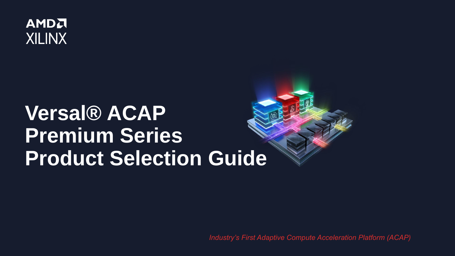

# **Versal® ACAP Premium Series Product Selection Guide**

*Industry's First Adaptive Compute Acceleration Platform (ACAP)*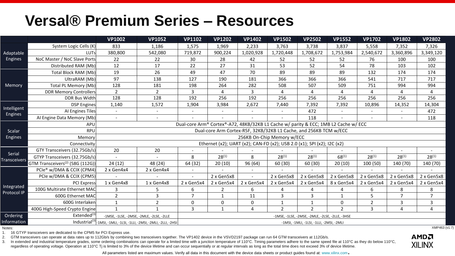### **Versal® Premium Series – Resources**

|                      |                                              | <b>VP1002</b>                                                                       | <b>VP1052</b>                                                                     | <b>VP1102</b>                                   | <b>VP1202</b>                                                     | <b>VP1402</b> | <b>VP1502</b>  | <b>VP2502</b>                            | <b>VP1552</b>  | <b>VP1702</b>            | <b>VP1802</b>            | <b>VP2802</b>  |  |  |  |  |
|----------------------|----------------------------------------------|-------------------------------------------------------------------------------------|-----------------------------------------------------------------------------------|-------------------------------------------------|-------------------------------------------------------------------|---------------|----------------|------------------------------------------|----------------|--------------------------|--------------------------|----------------|--|--|--|--|
|                      | System Logic Cells (K)                       | 833                                                                                 | 1,186                                                                             | 1,575                                           | 1,969                                                             | 2,233         | 3,763          | 3,738                                    | 3,837          | 5,558                    | 7,352                    | 7,326          |  |  |  |  |
| Adaptable<br>Engines | <b>LUTs</b>                                  | 380,800                                                                             | 542,080                                                                           | 719,872                                         | 900,224                                                           | 1,020,928     | 1,720,448      | 1,708,672<br>1,753,984                   |                | 2,540,672                | 3,360,896                | 3,349,120      |  |  |  |  |
|                      | NoC Master / NoC Slave Ports                 | 22                                                                                  | 22                                                                                | 30                                              | 28                                                                | 42            | 52             | 52                                       | 52             | 76                       | 100                      | 100            |  |  |  |  |
|                      | Distributed RAM (Mb)                         | 12                                                                                  | 17                                                                                | 22                                              | 27                                                                | 31            | 53             | 52                                       | 54             | 78                       | 103                      | 102            |  |  |  |  |
|                      | Total Block RAM (Mb)                         | 19                                                                                  | 26                                                                                | 49                                              | 47                                                                | 70            | 89             | 89                                       | 89             | 132                      | 174                      | 174            |  |  |  |  |
|                      | UltraRAM (Mb)                                | 97                                                                                  | 138                                                                               | 127                                             | 190                                                               | 181           | 366            | 366                                      | 366            | 541                      | 717                      | 717            |  |  |  |  |
| Memory               | <b>Total PL Memory (Mb)</b>                  | 128                                                                                 | 181                                                                               | 198                                             | 264                                                               | 282           | 508            | 507                                      | 509            | 751                      | 994                      | 994            |  |  |  |  |
|                      | <b>DDR Memory Controllers</b>                | $\overline{2}$                                                                      | $\overline{2}$                                                                    | 3                                               | 4                                                                 | 3             | 4              | 4                                        | 4              | 4                        | 4                        | 4              |  |  |  |  |
|                      | <b>DDR Bus Width</b>                         | 128                                                                                 | 128                                                                               | 192                                             | 256                                                               | 192           | 256            | 256                                      | 256            | 256                      | 256                      | 256            |  |  |  |  |
| Intelligent          | <b>DSP</b> Engines                           | 1,140                                                                               | 1,572                                                                             | 1,904                                           | 3,984                                                             | 2,672         | 7,440          | 7,392                                    | 7,392          | 10,896                   | 14,352                   | 14,304         |  |  |  |  |
| Engines              | AI Engines Tiles                             | $\overline{\phantom{a}}$                                                            | $\overline{\phantom{a}}$                                                          |                                                 |                                                                   |               |                | 472                                      |                |                          |                          | 472            |  |  |  |  |
|                      | Al Engine Data Memory (Mb)                   | $\sim$                                                                              | $\overline{\phantom{a}}$                                                          |                                                 |                                                                   |               |                | 118                                      |                | $\overline{\phantom{a}}$ | $\overline{\phantom{a}}$ | 118            |  |  |  |  |
|                      | APU                                          | Dual-core Arm® Cortex®-A72, 48KB/32KB L1 Cache w/ parity & ECC; 1MB L2 Cache w/ ECC |                                                                                   |                                                 |                                                                   |               |                |                                          |                |                          |                          |                |  |  |  |  |
| Scalar               | <b>RPU</b>                                   |                                                                                     |                                                                                   |                                                 | Dual-core Arm Cortex-R5F, 32KB/32KB L1 Cache, and 256KB TCM w/ECC |               |                |                                          |                |                          |                          |                |  |  |  |  |
| Engines              | Memory                                       |                                                                                     |                                                                                   |                                                 |                                                                   |               |                |                                          |                |                          |                          |                |  |  |  |  |
|                      | Connectivity                                 | Ethernet (x2); UART (x2); CAN-FD (x2); USB 2.0 (x1); SPI (x2); I2C (x2)             |                                                                                   |                                                 |                                                                   |               |                |                                          |                |                          |                          |                |  |  |  |  |
| Serial               | GTY Transceivers (32.75Gb/s)                 | 20                                                                                  | 20                                                                                |                                                 |                                                                   |               |                |                                          |                |                          |                          |                |  |  |  |  |
| <b>Transceivers</b>  | GTYP Transceivers (32.75Gb/s)                |                                                                                     |                                                                                   | 8                                               | $28^{(1)}$                                                        | 8             | $28^{(1)}$     | $68^{(1)}$<br>$28^{(1)}$                 |                | $28^{(1)}$               | $28^{(1)}$               | $28^{(1)}$     |  |  |  |  |
|                      | GTM Transceivers <sup>(2)</sup> (58G (112G)) | 24(12)                                                                              | 48 (24)                                                                           | 64 (32)                                         | 20(10)                                                            | 96 (64)       | 60 (30)        | 60 (30)                                  | 20(10)         | 100 (50)                 | 140 (70)                 | 140 (70)       |  |  |  |  |
|                      | PCIe <sup>®</sup> w/DMA & CCIX (CPM4)        | 2 x Gen4x4                                                                          | 2 x Gen4x4                                                                        |                                                 |                                                                   |               |                |                                          |                |                          |                          |                |  |  |  |  |
|                      | PCIe w/DMA & CCIX (CPM5)                     |                                                                                     |                                                                                   |                                                 | 2 x Gen5x8                                                        |               | 2 x Gen5x8     | 2 x Gen5x8                               | 2 x Gen5x8     | 2 x Gen5x8               | 2 x Gen5x8               | 2 x Gen5x8     |  |  |  |  |
| Integrated           | <b>PCI Express</b>                           | 1 x Gen4x8                                                                          | 1 x Gen4x8                                                                        | 2 x Gen5x4                                      | 2 x Gen5x4                                                        | 2 x Gen5x4    | 2 x Gen5x4     | 2 x Gen5x4                               | 8 x Gen5x4     | 2 x Gen5x4               | 2 x Gen5x4               | 2 x Gen5x4     |  |  |  |  |
| Protocol IP          | 100G Multirate Ethernet MAC                  | 3                                                                                   | 5                                                                                 | 6                                               | 2                                                                 | 6             | 4              | 4                                        | 4              | 6                        | 8                        | 8              |  |  |  |  |
|                      | 600G Ethernet MAC                            | $\overline{2}$                                                                      | 3                                                                                 | $\overline{7}$                                  | 1                                                                 | 11            | 3              | 3                                        | $\mathbf{1}$   | 5                        | $\overline{7}$           | $\overline{7}$ |  |  |  |  |
|                      | 600G Interlaken                              | $\mathbf{1}$                                                                        | $\overline{2}$                                                                    | 0                                               | $\mathbf 0$                                                       | 0             | $\mathbf{1}$   | $\mathbf{1}$                             | 0              | $\overline{2}$           | 3                        | 3              |  |  |  |  |
|                      | 400G High-Speed Crypto Engine                | $\mathbf{1}$                                                                        | $\mathbf{1}$                                                                      | $\overline{3}$                                  | $\mathbf{1}$                                                      | 4             | $\overline{2}$ | $\overline{2}$                           | $\overline{2}$ | 3                        | 4                        | 4              |  |  |  |  |
| Ordering             | Extended <sup>(3)</sup>                      | -1MSE, -1LSE, -2MSE, -2MLE, -2LSE, -2LLE                                            |                                                                                   | -1MSE, -1LSE, -2MSE, -2MLE, -2LSE, -2LLE, -3HSE |                                                                   |               |                |                                          |                |                          |                          |                |  |  |  |  |
| Information          |                                              |                                                                                     | Industrial <sup>(3)</sup>  -1MSI, -1MLI, -1LSI, -1LLI, -2MSI, -2MLI, -2LLI, -2HSI |                                                 |                                                                   |               |                | -1MSI, -1MLI, -1LSI, -1LLI, -2MSI, -2MLI |                |                          |                          |                |  |  |  |  |

Notes:

1. 16 GTYP transceivers are dedicated to the CPM5 for PCI Express use.

2. GTM transceivers can operate at data rates up to 112Gb/s by combining two transceivers together. The VP1402 device in the VSVD2197 package can run 64 GTM transceivers at 112Gb/s.

3. In extended and industrial temperature grades, some ordering combinations can operate for a limited time with a junction temperature of 110°C. Timing parameters adhere to the same speed file at 110°C as they do below 11 regardless of operating voltage. Operation at 110°C Tj is limited to 3% of the device lifetime and can occur sequentially or at regular intervals as long as the total time does not exceed 3% of device lifetime.



**XILINX** 

All parameters listed are maximum values. Verify all data in this document with the device data sheets or product guides found at: www.xilinx.com.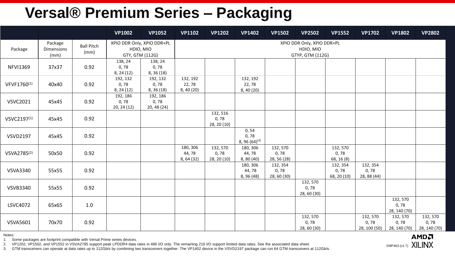# **Versal® Premium Series – Packaging**

|                         |                               |                           | <b>VP1002</b>                                              | <b>VP1052</b>                    | <b>VP1102</b>                                               | <b>VP1202</b>                    | <b>VP1402</b>                       | <b>VP1502</b>                   | <b>VP2502</b>                   | <b>VP1552</b>                   | <b>VP1702</b>                    | <b>VP1802</b>                     | <b>VP2802</b>                    |  |  |  |  |  |  |
|-------------------------|-------------------------------|---------------------------|------------------------------------------------------------|----------------------------------|-------------------------------------------------------------|----------------------------------|-------------------------------------|---------------------------------|---------------------------------|---------------------------------|----------------------------------|-----------------------------------|----------------------------------|--|--|--|--|--|--|
| Package                 | Package<br>Dimensions<br>(mm) | <b>Ball Pitch</b><br>(mm) | XPIO DDR Only, XPIO DDR+PL<br>HDIO, MIO<br>GTY, GTM (112G) |                                  | XPIO DDR Only, XPIO DDR+PL<br>HDIO, MIO<br>GTYP, GTM (112G) |                                  |                                     |                                 |                                 |                                 |                                  |                                   |                                  |  |  |  |  |  |  |
| <b>NFVI1369</b>         | 37x37                         | 0.92                      | 138, 24<br>0,78<br>8, 24(12)                               | 138, 24<br>0,78<br>8, 36 (18)    |                                                             |                                  |                                     |                                 |                                 |                                 |                                  |                                   |                                  |  |  |  |  |  |  |
| VFVF1760(1)             | 40x40                         | 0.92                      | 192, 132<br>0,78<br>8, 24(12)                              | 192, 132<br>0, 78<br>8, 36(18)   | 132, 192<br>22,78<br>8,40(20)                               |                                  | 132, 192<br>22,78<br>8, 40 (20)     |                                 |                                 |                                 |                                  |                                   |                                  |  |  |  |  |  |  |
| <b>VSVC2021</b>         | 45x45                         | 0.92                      | 192, 186<br>0,78<br>20, 24 (12)                            | 192, 186<br>0, 78<br>20, 48 (24) |                                                             |                                  |                                     |                                 |                                 |                                 |                                  |                                   |                                  |  |  |  |  |  |  |
| VSVC2197 <sup>(1)</sup> | 45x45                         | 0.92                      |                                                            |                                  |                                                             | 132, 516<br>0, 78<br>28, 20 (10) |                                     |                                 |                                 |                                 |                                  |                                   |                                  |  |  |  |  |  |  |
| <b>VSVD2197</b>         | 45x45                         | 0.92                      |                                                            |                                  |                                                             |                                  | 0, 54<br>0,78<br>8, 96 $(64)^{(3)}$ |                                 |                                 |                                 |                                  |                                   |                                  |  |  |  |  |  |  |
| VSVA2785 <sup>(2)</sup> | 50x50                         | 0.92                      |                                                            |                                  | 180, 306<br>44,78<br>8, 64 (32)                             | 132, 570<br>0,78<br>28, 20 (10)  | 180, 306<br>44,78<br>8, 80(40)      | 132, 570<br>0,78<br>28, 56 (28) |                                 | 132, 570<br>0,78<br>68, 16 (8)  |                                  |                                   |                                  |  |  |  |  |  |  |
| <b>VSVA3340</b>         | 55x55                         | 0.92                      |                                                            |                                  |                                                             |                                  | 180, 306<br>44,78<br>8, 96 (48)     | 132, 354<br>0,78<br>28, 60 (30) |                                 | 132, 354<br>0,78<br>68, 20 (10) | 132, 354<br>0,78<br>28, 88 (44)  |                                   |                                  |  |  |  |  |  |  |
| <b>VSVB3340</b>         | 55x55                         | 0.92                      |                                                            |                                  |                                                             |                                  |                                     |                                 | 132, 570<br>0,78<br>28, 60 (30) |                                 |                                  |                                   |                                  |  |  |  |  |  |  |
| LSVC4072                | 65x65                         | 1.0                       |                                                            |                                  |                                                             |                                  |                                     |                                 |                                 |                                 |                                  | 132, 570<br>0, 78<br>28, 140 (70) |                                  |  |  |  |  |  |  |
| <b>VSVA5601</b>         | 70x70                         | 0.92                      |                                                            |                                  |                                                             |                                  |                                     |                                 | 132, 570<br>0,78<br>28, 60 (30) |                                 | 132, 570<br>0,78<br>28, 100 (50) | 132, 570<br>0,78<br>28, 140 (70)  | 132, 570<br>0,78<br>28, 140 (70) |  |  |  |  |  |  |

Notes:

1. Some packages are footprint compatible with Versal Prime series devices.

2. VP1202, VP1502, and VP1552 in VSVA2785 support peak LPDDR4 data rates in 486 I/O only. The remaining 216 I/O support limited data rates. See the associated data sheet.

3. GTM transceivers can operate at data rates up to 112Gb/s by combining two transceivers together. The VP1402 device in the VSVD2197 package can run 64 GTM transceivers at 112Gb/s.

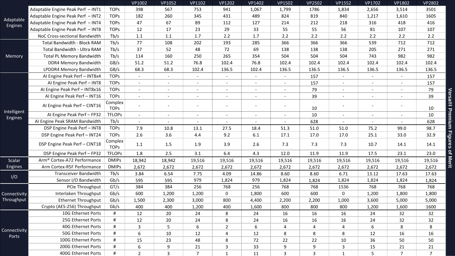|                        |                                         |                        | VP1002         | VP1052                   | VP1102         | <b>VP1202</b>            | VP1402 | VP1502                   | VP2502       | VP1552                   | VP1702                   | VP1802         | VP2802          |
|------------------------|-----------------------------------------|------------------------|----------------|--------------------------|----------------|--------------------------|--------|--------------------------|--------------|--------------------------|--------------------------|----------------|-----------------|
| Adaptable<br>Engines   | Adaptable Engine Peak Perf - INT1       | <b>TOPs</b>            | 398            | 567                      | 753            | 941                      | 1,067  | 1,799                    | 1786         | 1,834                    | 2,656                    | 3,514          | 3501            |
|                        | Adaptable Engine Peak Perf - INT2       | <b>TOPS</b>            | 182            | 260                      | 345            | 431                      | 489    | 824                      | 819          | 840                      | 1,217                    | 1,610          | 1605            |
|                        | Adaptable Engine Peak Perf - INT4       | <b>TOPs</b>            | 47             | 67                       | 89             | 112                      | 127    | 214                      | 212          | 218                      | 316                      | 418            | 416             |
|                        | Adaptable Engine Peak Perf - INT8       | <b>TOPs</b>            | 12             | 17                       | 23             | 29                       | 33     | 55                       | 55           | 56                       | 81                       | 107            | 107             |
|                        | NoC Cross-sectional Bandwidth           | Tb/s                   | 1.1            | 1.1                      | 1.7            | 2.2                      | 1.7    | 2.2                      | 2.2          | 2.2                      | 2.2                      | 2.2            | 2.2             |
| Memory                 | Total Bandwidth - Block RAM             | Tb/s                   | 77             | 108                      | 202            | 193                      | 285    | 366                      | 366          | 366                      | 539                      | 712            | 712             |
|                        | Total Bandwidth - Ultra RAM             | Tb/s                   | 37             | 52                       | 48             | 72                       | 69     | 138                      | 138          | 138                      | 205                      | 271            | 271             |
|                        | <b>Total PL Memory Bandwidth</b>        | Tb/s                   | 114            | 160                      | 250            | 265                      | 354    | 504                      | 504          | 504                      | 743                      | 982            | 982             |
|                        | DDR4 Memory Bandwidth                   | GB/s                   | 51.2           | 51.2                     | 76.8           | 102.4                    | 76.8   | 102.4                    | 102.4        | 102.4                    | 102.4                    | 102.4          | 102.4           |
|                        | LPDDR4 Memory Bandwidth                 | GB/s                   | 68.3           | 68.3                     | 102.4          | 136.5                    | 102.4  | 136.5                    | 136.5        | 136.5                    | 136.5                    | 136.5          | 136.5           |
|                        | Al Engine Peak Perf - INT8x4            | <b>TOPS</b>            | $\sim$         | $\sim$                   | $\sim$         | $\blacksquare$           | $\sim$ | $\blacksquare$           | 157          | $\blacksquare$           | $\blacksquare$           | $\sim$         | 157             |
|                        | Al Engine Peak Perf - INT8              | <b>TOPS</b>            | $\blacksquare$ | $\blacksquare$           |                | $\overline{\phantom{a}}$ |        | $\blacksquare$           | 157          | $\overline{\phantom{a}}$ | $\overline{\phantom{a}}$ |                | 157             |
|                        | Al Engine Peak Perf - INT8x16           | <b>TOPS</b>            | $\sim$         | $\overline{\phantom{a}}$ |                |                          |        | $\overline{\phantom{a}}$ | 79           |                          | $\overline{\phantom{a}}$ |                | 79              |
|                        | Al Engine Peak Perf - INT16             | <b>TOPs</b>            | $\sim$         | $\blacksquare$           | $\sim$         | $\overline{\phantom{a}}$ | $\sim$ | $\overline{\phantom{a}}$ | 39           | $\blacksquare$           | $\overline{\phantom{a}}$ |                | 39              |
| Intelligent<br>Engines | AI Engine Peak Perf - CINT16            | Complex<br><b>TOPS</b> |                | $\blacksquare$           |                | $\overline{\phantom{a}}$ | $\sim$ | $\blacksquare$           | 10           | $\sim$                   | $\overline{\phantom{a}}$ |                | 10              |
|                        | Al Engine Peak Perf - FP32              | <b>TFLOPs</b>          | $\sim$         | $\blacksquare$           |                | $\overline{\phantom{a}}$ |        | $\blacksquare$           | 10           | $\overline{\phantom{a}}$ | $\overline{\phantom{a}}$ |                | 10              |
|                        | AI Engine Peak SRAM Bandwidth           | Tb/s                   | $\sim$         | $\sim$                   | $\sim$         | $\blacksquare$           | $\sim$ | $\blacksquare$           | 628          | $\sim$                   | $\blacksquare$           | $\sim$         | 628             |
|                        | DSP Engine Peak Perf - INT8             | <b>TOPs</b>            | 7.9            | 10.8                     | 13.1           | 27.5                     | 18.4   | 51.3                     | 51.0         | 51.0                     | 75.2                     | 99.0           | 98.7            |
|                        | DSP Engine Peak Perf - INT24            | <b>TOPS</b>            | 2.6            | 3.6                      | 4.4            | 9.2                      | 6.1    | 17.1                     | 17.0         | 17.0                     | 25.1                     | 33.0           | 32.9            |
|                        | DSP Engine Peak Perf - CINT18           | Complex<br><b>TOPS</b> | 1.1            | 1.5                      | 1.9            | 3.9                      | 2.6    | 7.3                      | 7.3          | 7.3                      | 10.7                     | 14.1           | 14.1            |
|                        | DSP Engine Peak Perf - FP32             | <b>TFLOPs</b>          | 1.8            | 2.5                      | 3.1            | 6.4                      | 4.3    | 12.0                     | 11.9         | 11.9                     | 17.5                     | 23.1           | 23.0            |
| Scalar                 | Arm <sup>®</sup> Cortex-A72 Performance | <b>DMIPs</b>           | 18,942         | 18,942                   | 19,516         | 19,516                   | 19,516 | 19,516                   | 19,516       | 19,516                   | 19,516                   | 19,516         | 19,516          |
| <b>Engines</b>         | Arm Cortex-R5F Performance              | <b>DMIPs</b>           | 2,672          | 2,672                    | 2,672          | 2,672                    | 2,672  | 2,672                    | 2,672        | 2,672                    | 2,672                    | 2,672          | 2,672           |
|                        | <b>Transceiver Bandwidth</b>            | Tb/s                   | 3.84           | 6.54                     | 7.75           | 4.09                     | 14.86  | 8.60                     | 8.60         | 6.71                     | 13.12                    | 17.63          | 17.63           |
| I/O                    | Sensor I/O Bandwidth                    | Gb/s                   | 595            | 595                      | 979            | 1,824                    | 979    | 1,824                    | 1,824        | 1,824                    | 1,824                    | 1,824          | 1,824           |
|                        | PCIe Throughput                         | GT/s                   | 384            | 384                      | 256            | 768                      | 256    | 768                      | 768          | 1536                     | 768                      | 768            | 768             |
| Connectivity           | Interlaken Throughput                   | Gb/s                   | 600            | 1,200                    | 1,200          | $\mathbf 0$              | 1,800  | 600                      | 600          | 0                        | 1,200                    | 1,800          | 1,800           |
| Throughput             | <b>Ethernet Throughput</b>              | Gb/s                   | 1,500          | 2,300                    | 3,000          | 800                      | 4,400  | 2,200                    | 2,200        | 1,000                    | 3,600                    | 5,000          | 5,000           |
|                        | Crypto (AES-256) Throughput             | Gb/s                   | 400            | 400                      | 1,200          | 400                      | 1,600  | 800                      | 800          | 800                      | 1,200                    | 1,600          | 1600            |
|                        | 10G Ethernet Ports                      | #                      | 12             | 20                       | 24             | 8                        | 24     | 16                       | 16           | 16                       | 24                       | 32             | 32              |
|                        | 25G Ethernet Ports                      | #                      | 12             | 20                       | 24             | 8                        | 24     | 16                       | 16           | 16                       | 24                       | 32             | 32              |
|                        | 40G Ethernet Ports                      |                        | 3.             | 5                        | 6              | $\overline{2}$           | 6      | 4                        | 4            | 4                        | 6                        | 8              | 8               |
| Connectivity<br>Ports  | 50G Ethernet Ports                      | #                      | 6              | 10                       | 12             | $\overline{4}$           | 12     | 8                        | 8            | 8                        | 12                       | 16             | 16              |
|                        | 100G Ethernet Ports                     |                        | 15             | 23                       | 48             | 8                        | 72     | 22                       | 22           | 10                       | 36                       | 50             | 50              |
|                        | 200G Ethernet Ports                     |                        | 6              | 9                        | 21             | 3                        | 33     | 9                        | 9            | 3                        | 15                       | 21             | 21              |
|                        | 400G Ethernet Ports                     | #                      | $2^{\circ}$    | $\mathbf{3}$             | 7 <sup>7</sup> | $\mathbf{1}$             | 11     | 3                        | $\mathbf{3}$ | $\mathbf{1}$             | 5                        | 7 <sup>7</sup> | $7\overline{ }$ |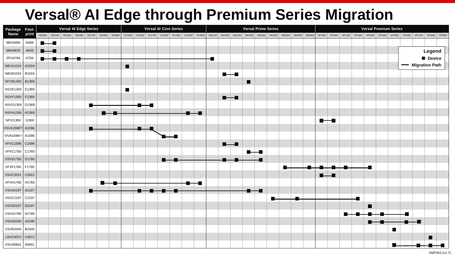# **Versal® AI Edge through Premium Series Migration**

| Package Foot-           | <b>Versal Al Edge Series</b> |  |  |  |  |   |  | <b>Versal Al Core Series</b> |  |  |  |  |  |  |  | <b>Versal Prime Series</b> |  |   |  |  |  |  |  | <b>Versal Premium Series</b> |  |  |  |   |  |                |  |  |                                                                                                                                                                                                                                |  |
|-------------------------|------------------------------|--|--|--|--|---|--|------------------------------|--|--|--|--|--|--|--|----------------------------|--|---|--|--|--|--|--|------------------------------|--|--|--|---|--|----------------|--|--|--------------------------------------------------------------------------------------------------------------------------------------------------------------------------------------------------------------------------------|--|
| <b>Name</b>             | print                        |  |  |  |  |   |  |                              |  |  |  |  |  |  |  |                            |  |   |  |  |  |  |  |                              |  |  |  |   |  |                |  |  | VE2002 VE2102 VE2202 VE2302 VE1752 VE2602 VE2802 VE2802 VE2802 VC1352 VC1352 VC1502 VC1602 VC1802 VC1802 VC1802 VC2602 VC2802 VM1102 VM1102 VM1102 VM1302 VM2302 VM2302 VM2302 VM2302 VM2302 VM2902 VP102 VP102 VP102 VP1402 V |  |
| SBVA484                 | A484                         |  |  |  |  |   |  |                              |  |  |  |  |  |  |  |                            |  |   |  |  |  |  |  |                              |  |  |  |   |  |                |  |  |                                                                                                                                                                                                                                |  |
| SBVA625                 | A625                         |  |  |  |  |   |  |                              |  |  |  |  |  |  |  |                            |  |   |  |  |  |  |  |                              |  |  |  |   |  |                |  |  | Legend                                                                                                                                                                                                                         |  |
| SFVA784                 | A784                         |  |  |  |  |   |  |                              |  |  |  |  |  |  |  |                            |  |   |  |  |  |  |  |                              |  |  |  |   |  |                |  |  | Device                                                                                                                                                                                                                         |  |
| <b>NBVA1024</b>         | A1024                        |  |  |  |  |   |  | п                            |  |  |  |  |  |  |  |                            |  |   |  |  |  |  |  |                              |  |  |  |   |  |                |  |  | - Migration Path                                                                                                                                                                                                               |  |
| NBVB1024                | B1024                        |  |  |  |  |   |  |                              |  |  |  |  |  |  |  | $\blacksquare$             |  |   |  |  |  |  |  |                              |  |  |  |   |  |                |  |  |                                                                                                                                                                                                                                |  |
| NFVB1369   B1369        |                              |  |  |  |  |   |  |                              |  |  |  |  |  |  |  |                            |  | П |  |  |  |  |  |                              |  |  |  |   |  |                |  |  |                                                                                                                                                                                                                                |  |
| NSVE1369   E1369        |                              |  |  |  |  |   |  | $\blacksquare$               |  |  |  |  |  |  |  |                            |  |   |  |  |  |  |  |                              |  |  |  |   |  |                |  |  |                                                                                                                                                                                                                                |  |
| NSVF1369                | F1369                        |  |  |  |  |   |  |                              |  |  |  |  |  |  |  | $\blacksquare$             |  |   |  |  |  |  |  |                              |  |  |  |   |  |                |  |  |                                                                                                                                                                                                                                |  |
| NSVG1369 G1369          |                              |  |  |  |  | æ |  |                              |  |  |  |  |  |  |  |                            |  |   |  |  |  |  |  |                              |  |  |  |   |  |                |  |  |                                                                                                                                                                                                                                |  |
| NSVH1369 H1369          |                              |  |  |  |  |   |  |                              |  |  |  |  |  |  |  |                            |  |   |  |  |  |  |  |                              |  |  |  |   |  |                |  |  |                                                                                                                                                                                                                                |  |
| <b>NFVI1369</b>         | 11369                        |  |  |  |  |   |  |                              |  |  |  |  |  |  |  |                            |  |   |  |  |  |  |  |                              |  |  |  |   |  |                |  |  |                                                                                                                                                                                                                                |  |
| VSVA1596 <sup>(1)</sup> | A1596                        |  |  |  |  | Е |  |                              |  |  |  |  |  |  |  |                            |  |   |  |  |  |  |  |                              |  |  |  |   |  |                |  |  |                                                                                                                                                                                                                                |  |
| VIVA1596(1)             | A1596                        |  |  |  |  |   |  |                              |  |  |  |  |  |  |  |                            |  |   |  |  |  |  |  |                              |  |  |  |   |  |                |  |  |                                                                                                                                                                                                                                |  |
| VFVC1596                | C1596                        |  |  |  |  |   |  |                              |  |  |  |  |  |  |  | $\blacksquare$             |  |   |  |  |  |  |  |                              |  |  |  |   |  |                |  |  |                                                                                                                                                                                                                                |  |
| <b>VFVC1760</b>         | C1760                        |  |  |  |  |   |  |                              |  |  |  |  |  |  |  |                            |  |   |  |  |  |  |  |                              |  |  |  |   |  |                |  |  |                                                                                                                                                                                                                                |  |
| VSVD1760 D1760          |                              |  |  |  |  |   |  |                              |  |  |  |  |  |  |  |                            |  |   |  |  |  |  |  |                              |  |  |  |   |  |                |  |  |                                                                                                                                                                                                                                |  |
| VFVF1760   F1760        |                              |  |  |  |  |   |  |                              |  |  |  |  |  |  |  |                            |  |   |  |  |  |  |  |                              |  |  |  |   |  |                |  |  |                                                                                                                                                                                                                                |  |
| <b>VSVC2021</b>         | C2021                        |  |  |  |  |   |  |                              |  |  |  |  |  |  |  |                            |  |   |  |  |  |  |  | $\blacksquare$               |  |  |  |   |  |                |  |  |                                                                                                                                                                                                                                |  |
| <b>VFVH1760</b>         | H <sub>1760</sub>            |  |  |  |  |   |  |                              |  |  |  |  |  |  |  |                            |  |   |  |  |  |  |  |                              |  |  |  |   |  |                |  |  |                                                                                                                                                                                                                                |  |
| VSVA2197                | A2197                        |  |  |  |  |   |  |                              |  |  |  |  |  |  |  |                            |  |   |  |  |  |  |  |                              |  |  |  |   |  |                |  |  |                                                                                                                                                                                                                                |  |
| VSVC2197 C2197          |                              |  |  |  |  |   |  |                              |  |  |  |  |  |  |  |                            |  |   |  |  |  |  |  |                              |  |  |  |   |  |                |  |  |                                                                                                                                                                                                                                |  |
| VSVD2197   D2197        |                              |  |  |  |  |   |  |                              |  |  |  |  |  |  |  |                            |  |   |  |  |  |  |  |                              |  |  |  | ▆ |  |                |  |  |                                                                                                                                                                                                                                |  |
| VSVA2785   A2785        |                              |  |  |  |  |   |  |                              |  |  |  |  |  |  |  |                            |  |   |  |  |  |  |  |                              |  |  |  |   |  |                |  |  |                                                                                                                                                                                                                                |  |
| <b>VSVA3340</b>         | A3340                        |  |  |  |  |   |  |                              |  |  |  |  |  |  |  |                            |  |   |  |  |  |  |  |                              |  |  |  |   |  |                |  |  |                                                                                                                                                                                                                                |  |
| <b>VSVB3340</b>         | B3340                        |  |  |  |  |   |  |                              |  |  |  |  |  |  |  |                            |  |   |  |  |  |  |  |                              |  |  |  |   |  | $\blacksquare$ |  |  |                                                                                                                                                                                                                                |  |
| LSVC4072 C4072          |                              |  |  |  |  |   |  |                              |  |  |  |  |  |  |  |                            |  |   |  |  |  |  |  |                              |  |  |  |   |  |                |  |  |                                                                                                                                                                                                                                |  |
| VSVA5601                | A5601                        |  |  |  |  |   |  |                              |  |  |  |  |  |  |  |                            |  |   |  |  |  |  |  |                              |  |  |  |   |  |                |  |  |                                                                                                                                                                                                                                |  |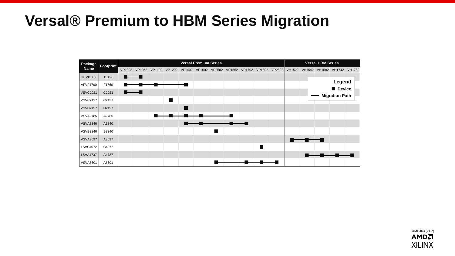### **Versal® Premium to HBM Series Migration**



XMP463 (v1.7)**AMDA XILINX**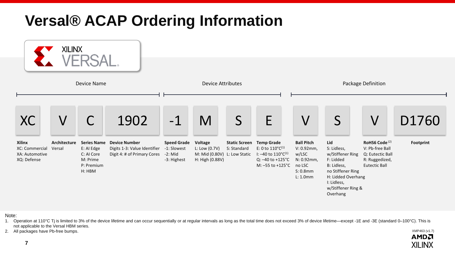# **Versal® ACAP Ordering Information**



Note:

1. Operation at 110°C Tj is limited to 3% of the device lifetime and can occur sequentially or at regular intervals as long as the total time does not exceed 3% of device lifetime—except -1E and -3E (standard 0-100°C). Thi not applicable to the Versal HBM series. XMP463 (v1.7)

> **AMDA XILINX**

2. All packages have Pb-free bumps.